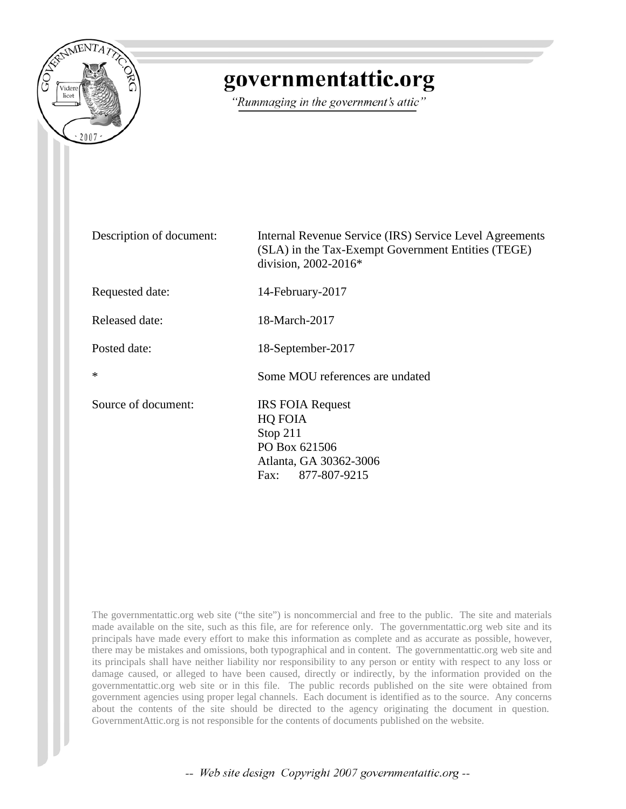

# governmentattic.org

"Rummaging in the government's attic"

| Description of document: | Internal Revenue Service (IRS) Service Level Agreements<br>(SLA) in the Tax-Exempt Government Entities (TEGE)<br>division, $2002 - 2016*$ |
|--------------------------|-------------------------------------------------------------------------------------------------------------------------------------------|
| Requested date:          | 14-February-2017                                                                                                                          |
| <b>Released date:</b>    | 18-March-2017                                                                                                                             |
| Posted date:             | 18-September-2017                                                                                                                         |
| $\ast$                   | Some MOU references are undated                                                                                                           |
| Source of document:      | <b>IRS FOIA Request</b><br>HQ FOIA<br>Stop 211<br>PO Box 621506<br>Atlanta, GA 30362-3006<br>877-807-9215<br>Fax:                         |

The governmentattic.org web site ("the site") is noncommercial and free to the public. The site and materials made available on the site, such as this file, are for reference only. The governmentattic.org web site and its principals have made every effort to make this information as complete and as accurate as possible, however, there may be mistakes and omissions, both typographical and in content. The governmentattic.org web site and its principals shall have neither liability nor responsibility to any person or entity with respect to any loss or damage caused, or alleged to have been caused, directly or indirectly, by the information provided on the governmentattic.org web site or in this file. The public records published on the site were obtained from government agencies using proper legal channels. Each document is identified as to the source. Any concerns about the contents of the site should be directed to the agency originating the document in question. GovernmentAttic.org is not responsible for the contents of documents published on the website.

-- Web site design Copyright 2007 governmentattic.org --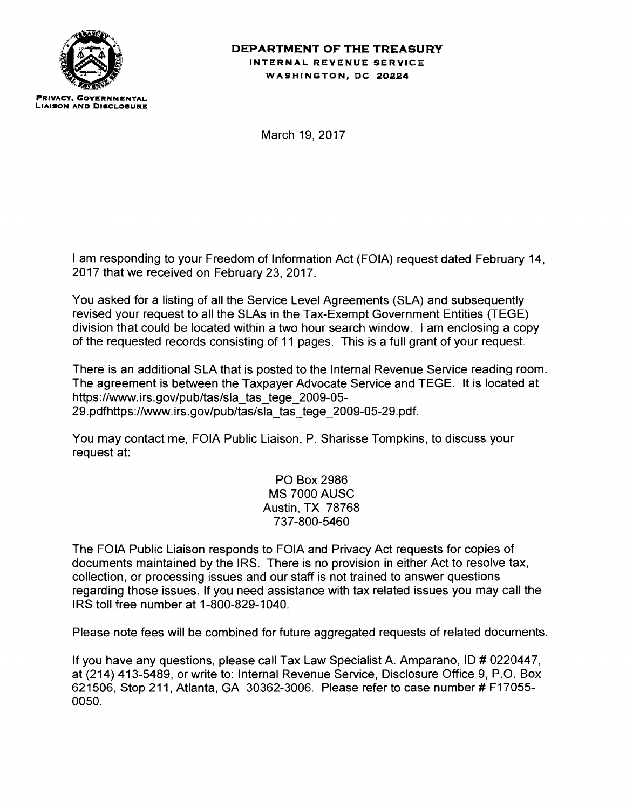

#### **DEPARTMENT OF THE TREASURY**  INTERNAL REVENUE SERVICE WASHINGTON, DC 20224

March 19, 2017

I am responding to your Freedom of Information Act (FOIA) request dated February 14, 2017 that we received on February 23, 2017.

You asked for a listing of all the Service Level Agreements (SLA) and subsequently revised your request to all the SLAs in the Tax-Exempt Government Entities (TEGE) division that could be located within a two hour search window. I am enclosing a copy of the requested records consisting of 11 pages. This is a full grant of your request.

There is an additional SLA that is posted to the Internal Revenue Service reading room. The agreement is between the Taxpayer Advocate Service and TEGE. It is located at https://www.irs.gov/pub/tas/sla\_tas\_tege\_2009-05-29.pdfhttps://www.irs.gov/pub/tas/sla\_tas\_tege\_2009-05-29.pdf.

You may contact me, FOIA Public Liaison, P. Sharisse Tompkins, to discuss your request at:

> PO Box 2986 MS 7000 AUSC Austin, TX 78768 737-800-5460

The FOIA Public Liaison responds to FOIA and Privacy Act requests for copies of documents maintained by the IRS. There is no provision in either Act to resolve tax, collection, or processing issues and our staff is not trained to answer questions regarding those issues. If you need assistance with tax related issues you may call the I RS toll free number at 1-800-829-1040.

Please note fees will be combined for future aggregated requests of related documents.

If you have any questions, please call Tax Law Specialist A. Amparano, ID # 0220447, at (214) 413-5489, or write to: Internal Revenue Service, Disclosure Office 9, P.O. Box 621506, Stop 211, Atlanta, GA 30362-3006. Please refer to case number # F17055-0050.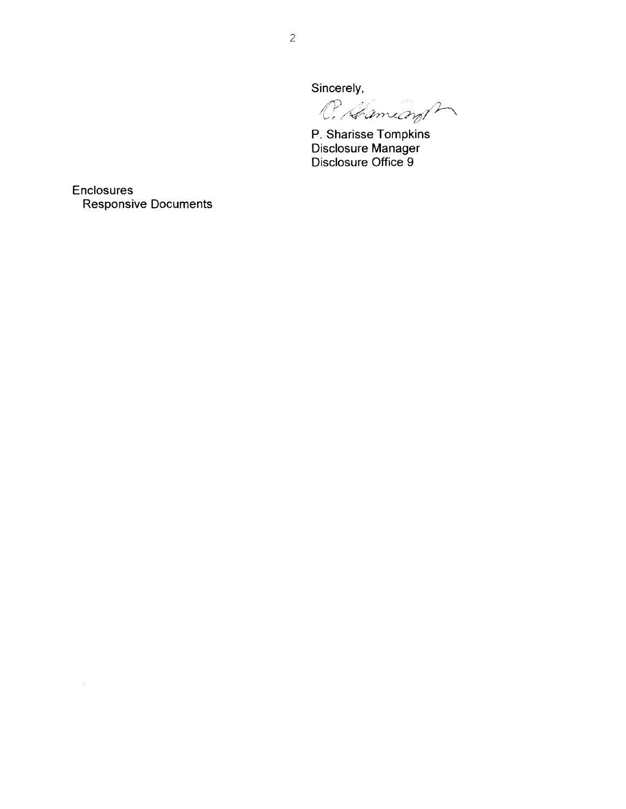Sincerely,

mins,

P. Sharisse Tompkins Disclosure Manager Disclosure Office 9

**Enclosures** Responsive Documents

 $\mathcal{A}^{\mathcal{A}}$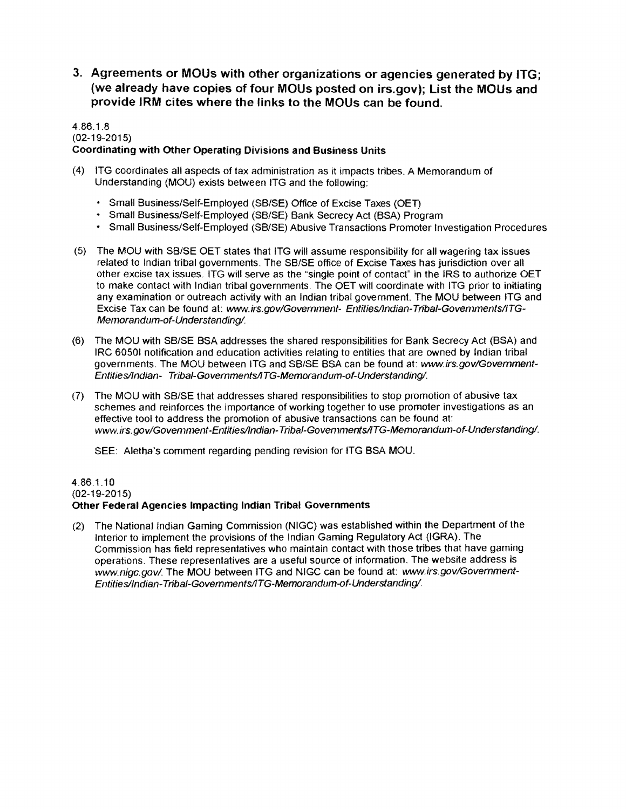3. Agreements or MOUs with other organizations or agencies generated by ITG; (we already have copies of four MOUs posted on irs.gov); List the MOUs and provide IRM cites where the links to the MOUs can be found.

#### 4.86.1.8 (02-19-2015) Coordinating with Other Operating Divisions and Business Units

- (4) ITG coordinates all aspects of tax administration as it impacts tribes. A Memorandum of Understanding (MOU) exists between ITG and the following:
	- Small Business/Self-Employed (SB/SE) Office of Excise Taxes (OET)
	- Small Business/Self-Employed (SB/SE) Bank Secrecy Act (BSA) Program
	- Small Business/Self-Employed (SB/SE) Abusive Transactions Promoter Investigation Procedures
- (5} The MOU with SB/SE OET states that ITG will assume responsibility for all wagering tax issues related to Indian tribal governments. The SB/SE office of Excise Taxes has jurisdiction over all other excise tax issues. ITG will serve as the "single point of contact" in the IRS to authorize OET to make contact with Indian tribal governments. The OET will coordinate with ITG prior to initiating any examination or outreach activity with an Indian tribal government. The MOU between ITG and Excise Tax can be found at: www.irs.gov/Government- Entities/lndian-Tribal-Govemments/ITG-Memorandum-of-Understanding/.
- (6) The MOU with SB/SE BSA addresses the shared responsibilities for Bank Secrecy Act (BSA) and IRC 6050! notification and education activities relating to entities that are owned by Indian tribal governments. The MOU between ITG and SB/SE BSA can be found at: www.irs.gov/Govemment-Entities/Indian- Tribal-Governments/ITG-Memorandum-of-Understanding/.
- (7) The MOU with SB/SE that addresses shared responsibilities to stop promotion of abusive tax schemes and reinforces the importance of working together to use promoter investigations as an effective tool to address the promotion of abusive transactions can be found at: www.irs.gov/Govemment-Entitiesllndian-Tribal-Govemments/ITG-Memorandum-of-Understanding/.

SEE: Aletha's comment regarding pending revision for ITG BSA MOU.

# 4.86.1.10 (02-19-2015)

#### Other Federal Agencies Impacting Indian Tribal Governments

(2) The National Indian Gaming Commission (NIGC) was established within the Department of the Interior to implement the provisions of the Indian Gaming Regulatory Act (IGRA). The Commission has field representatives who maintain contact with those tribes that have gaming operations. These representatives are a useful source of information. The website address is www.nigc.gov/. The MOU between ITG and NIGC can be found at: www.irs.gov/Government-Entitiesllndian-Tribal-Govemments/ITG-Memorandum-of-Understanding/.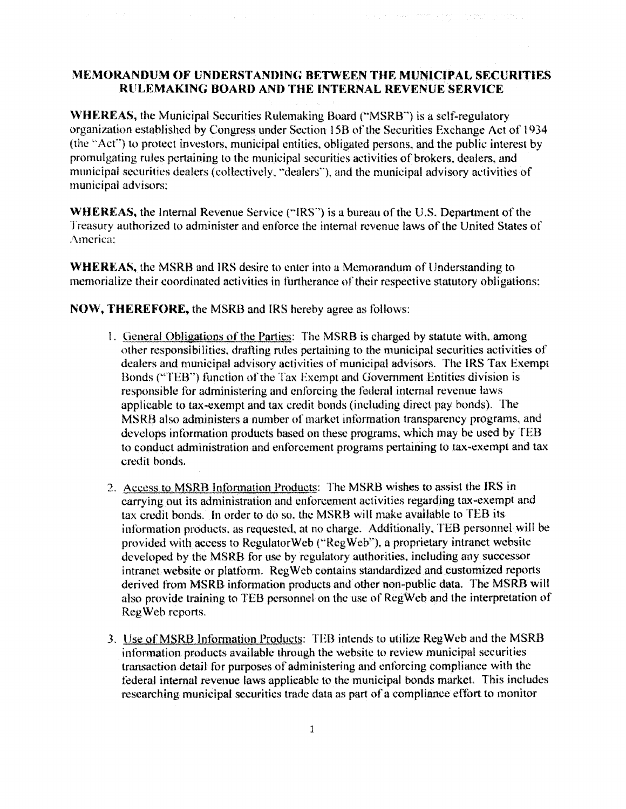### **:\'IEMORANDUM OF UNDERSTANDING BETWEEN THE MUNICIPAL SECURITIES RULEMAKING BOARD AND THE INTERNAL REVENUE SERVICE**

The second process of With 1985 to the 1980s and 1980s.

**WHEREAS, the Municipal Securities Rulemaking Board ("MSRB") is a self-regulatory** organization established by Congress under Section 15B of the Securities Exchange Act of 1934 (the "Act") to protect investors, municipal entities, obligated persons, and the public interest by promulgating rules pertaining lo the municipal securities activities of brokers. dealers. and municipal securities dealers (collectively, "dealers''), and the municipal advisory activities of municipal advisors:

**WHEREAS,** the Internal Revenue Service ("!RS"') is a bureau of the U.S. Department of the lreasury authorized to administer and enforce the internal revenue laws of the United States of America:

**WHERKAS,** the MSRB and IRS desire to enter into a Memorandum of Understanding to memorialize their coordinated activities in furtherance of their respective statutory obligations:

**NOW, THEREFORE,** the MSRB and IRS hereby agree as follows:

- I. General Obligations of the Parties: The MSRB is charged by statute with. among other responsibilities, drafting mies pertaining to the municipal securities activities of dealers and municipal advisory activities of municipal advisors. The IRS Tax Exempt Bonds ("TEB"") function of the Tax Exempt and Government Entities division is responsible for administering and enforcing the federal internal revenue laws applicable to tax-exempt and tax credit bonds (including direct pay bonds). The MSRB also administers a number of market information transparency programs. and develops information products based on these programs. which may he used by TEB to conduct administration and enforcement programs pertaining to tax·exempl and tax credit bonds.
- 2. Access to MSRB Information Products: The MSRB wishes to assist the IRS in carrying out its administration and enforcement activities regarding tax~exempt and tax credit bonds. In order to do so. the MSRB will make available to TEB its infornmtion products. as requested. at no charge. Additionally. TEB personnel will be provided with access to RegulatorWeb {"Reg Web''). a proprietary intranet website developed by the MSRB for use by regulatory authorities, including any successor intranet website or platform. Reg Web contains standardized and customized reports derived from MSRB information products and other non-public data. The MSRB will also provide training to TEB personnel on the use of RcgWeb and the interpretation of Reg Web reports.
- 3. Use of MSRB Information Products: TEB intends to utilize Reg Web and the MSRB information products available through the website to review municipal securities transaction detail for purposes of administering and enforcing compliance with the federal internal revenue laws applicable to the municipal bonds market. This includes researching municipal securities trade data as part of a compliance effort to monitor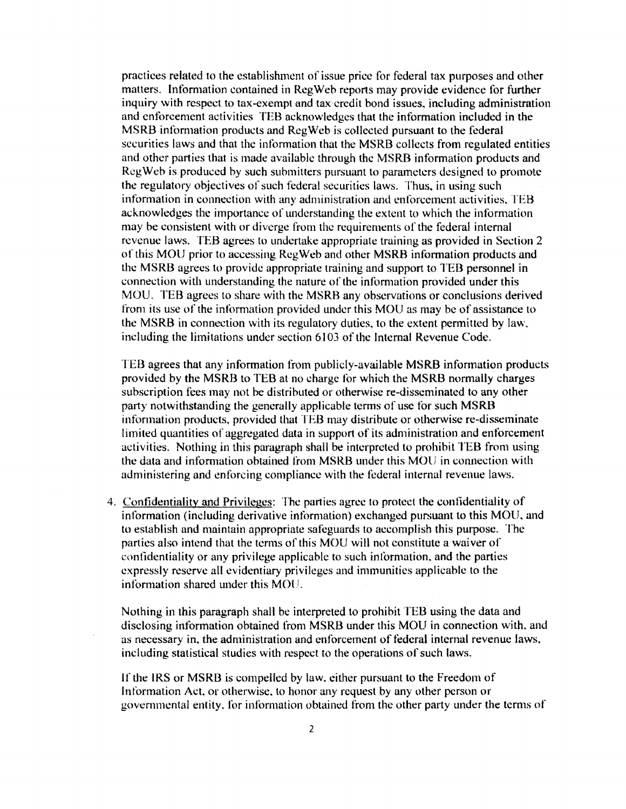practices related to the establishment of issue price for federal tax purposes and other matters. Information contained in Reg Web reports may provide evidence for further inquiry with respect to tax-exempt and tax credit bond issues. including administration and cnfbrcemcnt activities TEB acknowledges that the information included in the MSRB information products and RegWeb is collected pursuant to the federal securities laws and that the information that the MSRB collects from regulated entities and other parties that is made available through the MSRB information products and Reg Web is produced by such submitters pursuant to parameters designed to promote the regulatory objectives of such federal securities laws. Thus, in using such information in connection with any administration and enforcement activities, TEB acknowledges the importance of understanding the extent to which the information may be consistent with or diverge from the requirements of the federal internal revenue laws. TEB agrees to undertake appropriate training as provided in Section 2 of this MOU prior to accessing Reg Web and other MSRB information products and the MSRB agrees to provide appropriate training and support to TEB personnel in connection with understanding the nature of the information provided under this MOU. TEB agrees to share with the MSRB any observations or conclusions derived from its use of the information provided under this MOU as may be of assistance to the MSRB in connection with its regulatory duties. to the extent permitted by law. including the limitations under section 6103 of the Internal Revenue Code.

TEB agrees that any information from publicly-available MSRB information products provided by the MSRB to TEB at no charge for which the MSRB normally charges subscription fees may not be distributed or otherwise re-disseminated to any other party notwithstanding the generally applicable terms of use for such MSRB information products, provided that TEB may distribute or otherwise re-disseminate limited quantities of aggregated data in support of its administration and enforcement activities. Nothing in this paragraph shall be interpreted to prohibit TEB from using the data and information obtained from MSRB under this MOU in connection with administering and enforcing compliance with the federal internal revenue laws.

4. Confidentiality and Privileges: The parties agree to protect the confidentiality of information (including derivative information) exchanged pursuant to this MOU, and to establish and maintain appropriate safeguards to accomplish this purpose. The parties also intend that the terms of this MOU will not constitute a waiver of confidentiality or any privilege applicable to such information. and the parties expressly reserve all evidentiary privileges and immunities applicable to the information shared under this MOU.

Nothing in this paragraph shall be interpreted to prohibit TEB using the data and disclosing information obtained from MSRB under this MOU in connection with. and as necessary in, the administration and enforcement of fodcral internal revenue laws. including statistical studies with respect to the operations of such laws.

If the IRS or MSRB is compelled by law. either pursuant lo the Freedom of Information Act, or otherwise, to honor any request by any other person or governmental entity, for information obtained from the other party under the terms of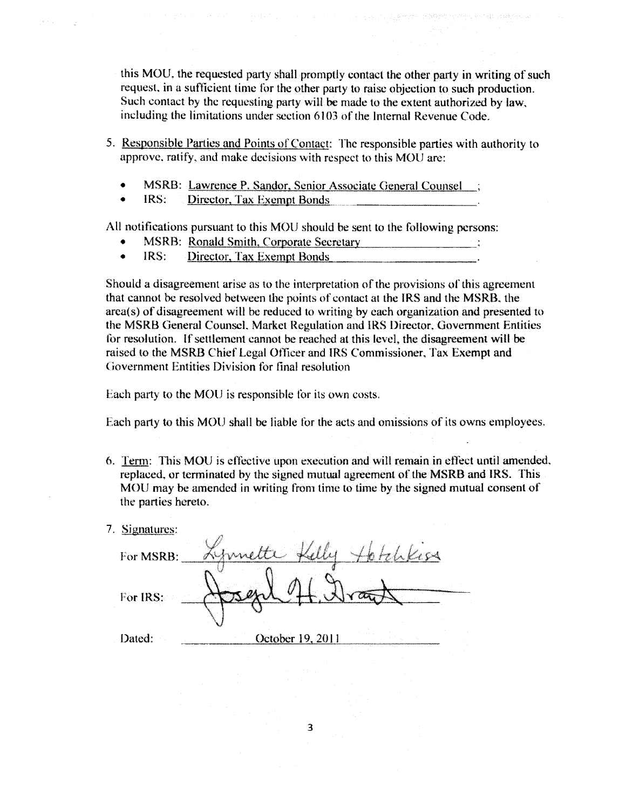this MOU, the requested party shall promptly contact the other party in writing of such request, in a sufficient time for the other party to raise objection to such production. Such contact hy the requesting party will be made to the extent authorized by law, including the limitations under section 6103 of the Internal Revenue Code.

- 5. Responsible Parties and Points of Contact: The responsible parties with authority to approve. ratify, and make decisions with respect to this MOU are:
	- MSRB: Lawrence P. Sandor, Senior Associate General Counsel;
	- IRS: Director, Tax Exempt Bonds

All notifications pursuant to this MOU should be sent to the following persons:

- MSRB: Ronald Smith, Corporate Secretary
- IRS: Director, Tax Exempt Bonds

Should a disagreement arise as to the interpretation of the provisions of this agreement that cannot be resolved between the points of contact at the IRS and the MSRB. the arca(s) of disagreement will be reduced to writing by each organization and presented to the MSRB General Counsel. Market Regulation and IRS Director. Government Entities for resolution. If settlement cannot be reached at this level, the disagreement will be raised to the MSRB Chief Legal Officer and IRS Commissioner, Tax Exempt and Government Entities Division for final resolution

Each party to the MOU is responsible for its own costs.

Each party to this MOU shall be liable for the acts and omissions of its owns employees.

- 6. Term: This MOU is cffoctivc upon execution and will remain in effect until amended. replaced, or terminated by the signed mutual agreement of the MSRB and IRS. This MOU may be amended in writing from time to time by the signed mutual consent of the parties hereto.
- 7. Signatures:

| For MSRB: | $\sim$           |  |
|-----------|------------------|--|
| For IRS:  |                  |  |
| Dated:    | October 19, 2011 |  |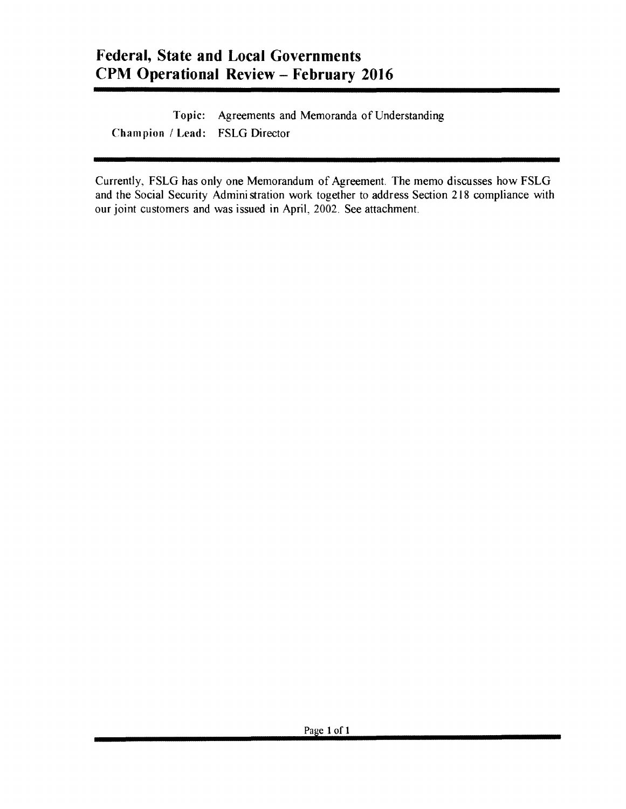Topic: Agreements and Memoranda of Understanding Champion / Lead: FSLG Director

Currently, FSLG has only one Memorandum of Agreement. The memo discusses how FSLG and the Social Security Administration work together to address Section 218 compliance with our joint customers and was issued in April, 2002. See attachment.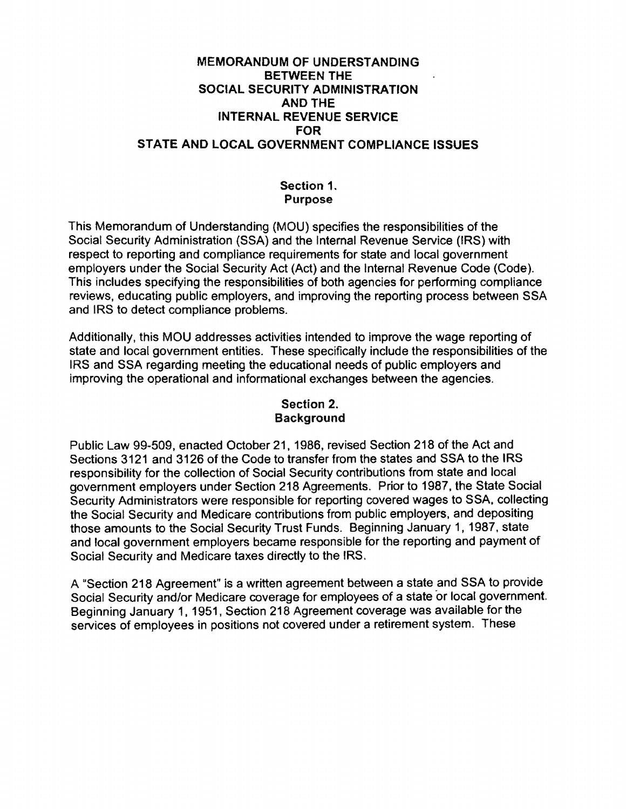# MEMORANDUM OF UNDERSTANDING BETWEEN THE SOCIAL SECURITY ADMINISTRATION AND THE INTERNAL REVENUE SERVICE FOR STATE AND LOCAL GOVERNMENT COMPLIANCE ISSUES

# Section 1. Purpose

This Memorandum of Understanding (MOU) specifies the responsibilities of the Social Security Administration (SSA) and the Internal Revenue Service (IRS) with respect to reporting and compliance requirements for state and local government employers under the Social Security Act (Act) and the Internal Revenue Code (Code). This includes specifying the responsibilities of both agencies for performing compliance reviews, educating public employers, and improving the reporting process between SSA and IRS to detect compliance problems.

Additionally, this MOU addresses activities intended to improve the wage reporting of state and local government entities. These specifically include the responsibilities of the IRS and SSA regarding meeting the educational needs of public employers and improving the operational and informational exchanges between the agencies.

# Section 2. Background

Public Law 99·509, enacted October 21, 1986, revised Section 218 of the Act and Sections 3121 and 3126 of the Code to transfer from the states and SSA to the IRS responsibility for the collection of Social Security contributions from state and local government employers under Section 218 Agreements. Prior to 1987, the State Social Security Administrators were responsible for reporting covered wages to SSA, collecting the Social Security and Medicare contributions from public employers, and depositing those amounts to the Social Security Trust Funds. Beginning January 1, 1987, state and local government employers became responsible for the reporting and payment of Social Security and Medicare taxes directly to the IRS.

A "Section 218 Agreement" is a written agreement between a state and SSA to provide Social Security and/or Medicare coverage for employees of a state or local government. Beginning January 1, 1951, Section 218 Agreement coverage was available for the services of employees in positions not covered under a retirement system. These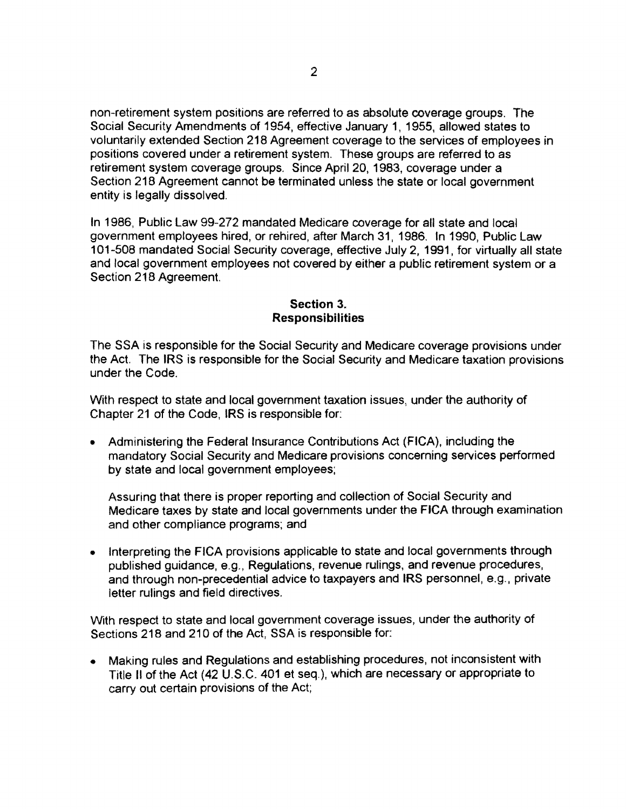non-retirement system positions are referred to as absolute coverage groups. The Social Security Amendments of 1954, effective January 1, 1955, allowed states to voluntarily extended Section 218 Agreement coverage to the services of employees in positions covered under a retirement system. These groups are referred to as retirement system coverage groups. Since April 20, 1983, coverage under a Section 218 Agreement cannot be terminated unless the state or local government entity is legally dissolved.

In 1986, Public Law 99-272 mandated Medicare coverage for all state and local government employees hired, or rehired, after March 31, 1986. In 1990, Public Law 101-508 mandated Social Security coverage, effective July 2, 1991, for virtually all state and local government employees not covered by either a public retirement system or a Section 218 Agreement.

### Section 3. Responsibilities

The SSA is responsible for the Social Security and Medicare coverage provisions under the Act. The IRS is responsible for the Social Security and Medicare taxation provisions under the Code.

With respect to state and local government taxation issues, under the authority of Chapter 21 of the Code, IRS is responsible for:

• Administering the Federal Insurance Contributions Act (FICA), including the mandatory Social Security and Medicare provisions concerning services performed by state and local government employees;

Assuring that there is proper reporting and collection of Social Security and Medicare taxes by state and local governments under the FICA through examination and other compliance programs; and

• Interpreting the FICA provisions applicable to state and local governments through published guidance, e.g., Regulations, revenue rulings, and revenue procedures, and through non-precedential advice to taxpayers and IRS personnel, e.g., private letter rulings and field directives.

With respect to state and local government coverage issues, under the authority of Sections 218 and 210 of the Act, SSA is responsible for:

• Making rules and Regulations and establishing procedures, not inconsistent with Title II of the Act (42 U.S.C. 401 et seq.), which are necessary or appropriate to carry out certain provisions of the Act;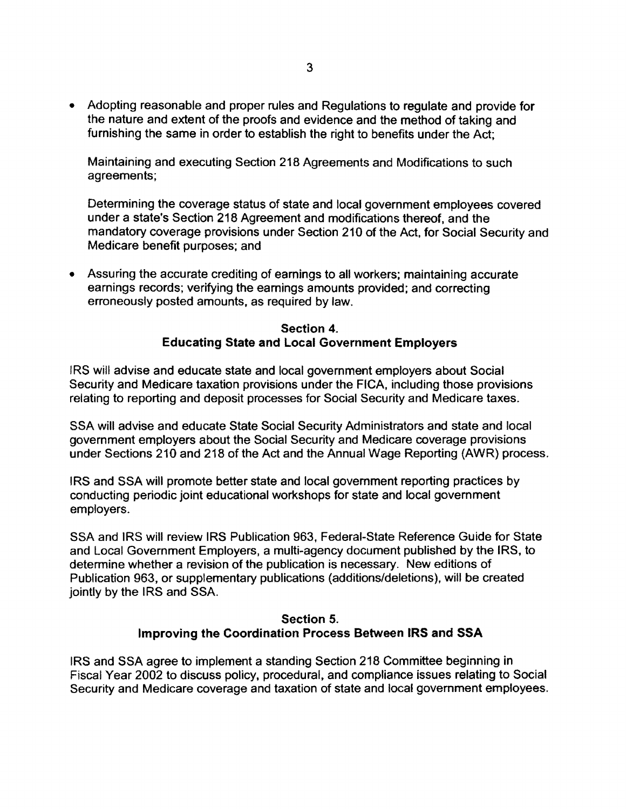• Adopting reasonable and proper rules and Regulations to regulate and provide for the nature and extent of the proofs and evidence and the method of taking and furnishing the same in order to establish the right to benefits under the Act;

Maintaining and executing Section 218 Agreements and Modifications to such agreements;

Determining the coverage status of state and local government employees covered under a state's Section 218 Agreement and modifications thereof, and the mandatory coverage provisions under Section 210 of the Act. for Social Security and Medicare benefit purposes; and

• Assuring the accurate crediting of earnings to all workers; maintaining accurate earnings records; verifying the earnings amounts provided; and correcting erroneously posted amounts, as required by law.

## Section 4. Educating State and Local Government Employers

IRS will advise and educate state and local government employers about Social Security and Medicare taxation provisions under the FICA, including those provisions relating to reporting and deposit processes for Social Security and Medicare taxes.

SSA will advise and educate State Social Security Administrators and state and local government employers about the Social Security and Medicare coverage provisions under Sections 210 and 218 of the Act and the Annual Wage Reporting (AWR} process.

I RS and SSA will promote better state and local government reporting practices by conducting periodic joint educational workshops for state and local government employers.

SSA and IRS will review IRS Publication 963, Federal-State Reference Guide for State and Local Government Employers, a multi-agency document published by the IRS, to determine whether a revision of the publication is necessary. New editions of Publication 963, or supplementary publications (additions/deletions}, will be created jointly by the IRS and SSA.

# Section 5. Improving the Coordination Process Between IRS and **SSA**

IRS and SSA agree to implement a standing Section 218 Committee beginning in Fiscal Year 2002 to discuss policy, procedural, and compliance issues relating to Social Security and Medicare coverage and taxation of state and local government employees.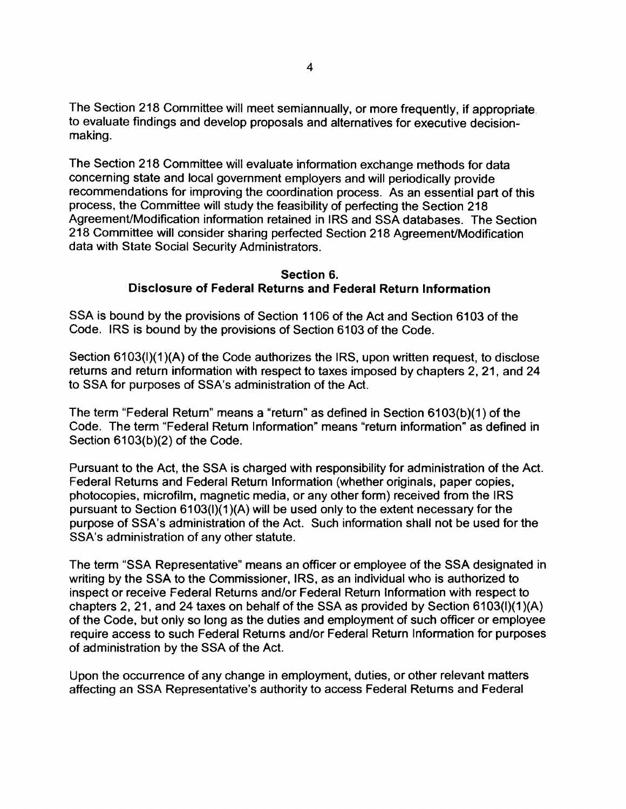The Section 218 Committee will meet semiannually, or more frequently, if appropriate to evaluate findings and develop proposals and alternatives for executive decisionmaking.

The Section 218 Committee will evaluate information exchange methods for data concerning state and local government employers and will periodically provide recommendations for improving the coordination process. As an essential part of this process, the Committee will study the feasibility of perfecting the Section 218 Agreement/Modification information retained in IRS and SSA databases. The Section 218 Committee will consider sharing perfected Section 218 Agreement/Modification data with State Social Security Administrators.

#### Section 6. Disclosure of Federal Returns and Federal Return Information

SSA is bound by the provisions of Section 1106 of the Act and Section 6103 of the Code. IRS is bound by the provisions of Section 6103 of the Code.

Section 6103(I)(1)(A) of the Code authorizes the IRS, upon written request, to disclose returns and return information with respect to taxes imposed by chapters 2, 21, and 24 to SSA for purposes of SSA's administration of the Act.

The term "Federal Return" means a "return" as defined in Section 6103(b)(1) of the Code. The term "Federal Return Information" means "return information" as defined in Section 6103(b)(2) of the Code.

Pursuant to the Act, the SSA is charged with responsibility for administration of the Act. Federal Returns and Federal Return Information (whether originals, paper copies, photocopies, microfilm, magnetic media, or any other form) received from the IRS pursuant to Section 6103(1)(1 )(A) will be used only to the extent necessary for the purpose of SSA's administration of the Act. Such information shall not be used for the SSA's administration of any other statute.

The term "SSA Representative" means an officer or employee of the SSA designated in writing by the SSA to the Commissioner, IRS, as an individual who is authorized to inspect or receive Federal Returns and/or Federal Return Information with respect to chapters 2, 21, and 24 taxes on behalf of the SSA as provided by Section 6103(1)(1 )(A) of the Code, but only so long as the duties and employment of such officer or employee require access to such Federal Returns and/or Federal Return Information for purposes of administration by the SSA of the Act.

Upon the occurrence of any change in employment, duties, or other relevant matters affecting an SSA Representative's authority to access Federal Returns and Federal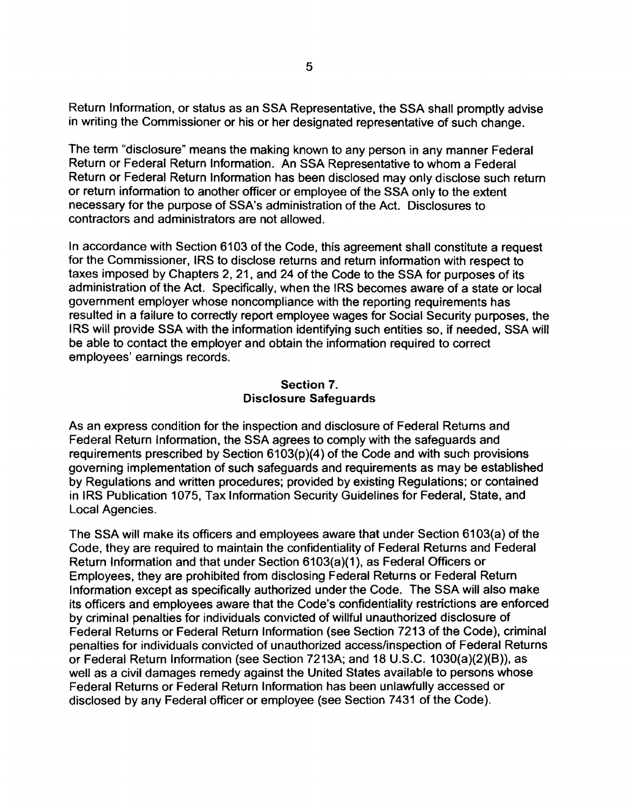Return Information, or status as an SSA Representative, the SSA shall promptly advise in writing the Commissioner or his or her designated representative of such change.

The term "disclosure" means the making known to any person in any manner Federal Return or Federal Return Information. An SSA Representative to whom a Federal Return or Federal Return Information has been disclosed may only disclose such return or return information to another officer or employee of the SSA only to the extent necessary for the purpose of SSA's administration of the Act. Disclosures to contractors and administrators are not allowed.

In accordance with Section 6103 of the Code, this agreement shall constitute a request for the Commissioner, IRS to disclose returns and return information with respect to taxes imposed by Chapters 2, 21, and 24 of the Code to the SSA for purposes of its administration of the Act. Specifically, when the IRS becomes aware of a state or local government employer whose noncompliance with the reporting requirements has resulted in a failure to correctly report employee wages for Social Security purposes, the IRS will provide SSA with the information identifying such entities so, if needed, SSA will be able to contact the employer and obtain the information required to correct employees' earnings records.

#### Section 7. Disclosure Safeguards

As an express condition for the inspection and disclosure of Federal Returns and Federal Return Information. the SSA agrees to comply with the safeguards and requirements prescribed by Section 6103(p)(4) of the Code and with such provisions governing implementation of such safeguards and requirements as may be established by Regulations and written procedures; provided by existing Regulations; or contained in IRS Publication 1075, Tax Information Security Guidelines for Federal, State, and Local Agencies.

The SSA will make its officers and employees aware that under Section 6103(a) of the Code, they are required to maintain the confidentiality of Federal Returns and Federal Return Information and that under Section 6103(a)(1), as Federal Officers or Employees, they are prohibited from disclosing Federal Returns or Federal Return Information except as specifically authorized under the Code. The SSA will also make its officers and employees aware that the Code's confidentiality restrictions are enforced by criminal penalties for individuals convicted of willful unauthorized disclosure of Federal Returns or Federal Return Information (see Section 7213 of the Code), criminal penalties for individuals convicted of unauthorized access/inspection of Federal Returns or Federal Return Information (see Section 7213A; and 18 U.S.C. 1030(a)(2)(8)), as well as a civil damages remedy against the United States available to persons whose Federal Returns or Federal Return Information has been unlawfully accessed or disclosed by any Federal officer or employee (see Section 7431 of the Code).